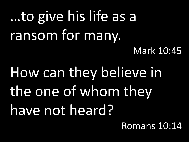#### …to give his life as a ransom for many. Mark 10:45

How can they believe in the one of whom they have not heard?

Romans 10:14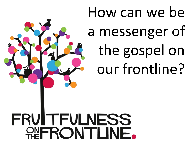How can we be a messenger of the gospel on our frontline?

**FRUITFULNESS** FRONTLI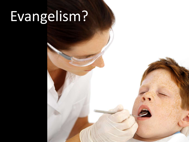## Evangelism?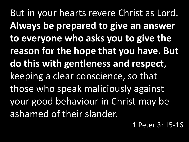But in your hearts revere Christ as Lord. **Always be prepared to give an answer to everyone who asks you to give the reason for the hope that you have. But do this with gentleness and respect**, keeping a clear conscience, so that those who speak maliciously against your good behaviour in Christ may be ashamed of their slander.

1 Peter 3: 15-16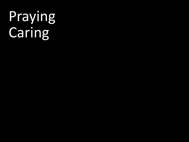## Praying **Caring**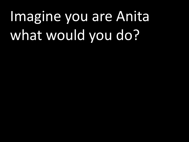# Imagine you are Anita what would you do?

- 
- - - -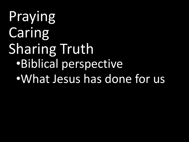Praying Caring Sharing Truth •Biblical perspective •What Jesus has done for us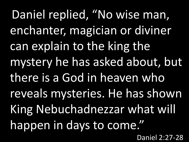Daniel replied, "No wise man, enchanter, magician or diviner can explain to the king the mystery he has asked about, but there is a God in heaven who reveals mysteries. He has shown King Nebuchadnezzar what will happen in days to come." Daniel 2:27-28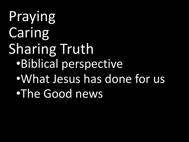Praying Caring Sharing Truth •Biblical perspective •What Jesus has done for us •The Good news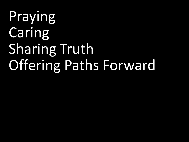## Praying **Caring** Sharing Truth Offering Paths Forward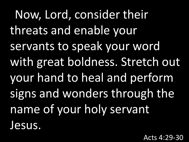Now, Lord, consider their threats and enable your servants to speak your word with great boldness. Stretch out your hand to heal and perform signs and wonders through the name of your holy servant Jesus.

Acts 4:29-30